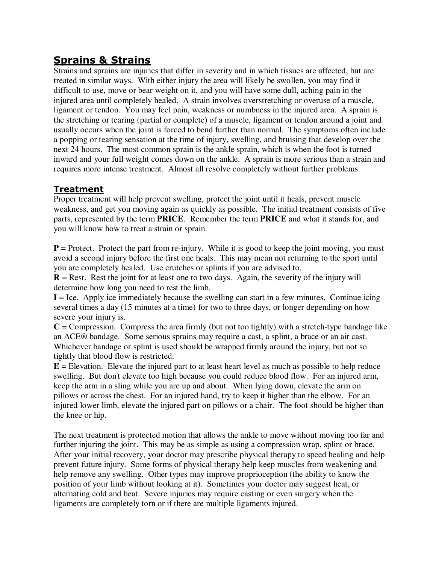# **Sprains & Strains**

Strains and sprains are injuries that differ in severity and in which tissues are affected, but are treated in similar ways. With either injury the area will likely be swollen, you may find it difficult to use, move or bear weight on it, and you will have some dull, aching pain in the injured area until completely healed. A strain involves overstretching or overuse of a muscle, ligament or tendon. You may feel pain, weakness or numbness in the injured area. A sprain is the stretching or tearing (partial or complete) of a muscle, ligament or tendon around a joint and usually occurs when the joint is forced to bend further than normal. The symptoms often include a popping or tearing sensation at the time of injury, swelling, and bruising that develop over the next 24 hours. The most common sprain is the ankle sprain, which is when the foot is turned inward and your full weight comes down on the ankle. A sprain is more serious than a strain and requires more intense treatment. Almost all resolve completely without further problems.

#### **Treatment**

Proper treatment will help prevent swelling, protect the joint until it heals, prevent muscle weakness, and get you moving again as quickly as possible. The initial treatment consists of five parts, represented by the term **PRICE**. Remember the term **PRICE** and what it stands for, and you will know how to treat a strain or sprain.

 $P =$  Protect. Protect the part from re-injury. While it is good to keep the joint moving, you must avoid a second injury before the first one heals. This may mean not returning to the sport until you are completely healed. Use crutches or splints if you are advised to.

 **= Rest. Rest the joint for at least one to two days. Again, the severity of the injury will** determine how long you need to rest the limb.

 $I =$  Ice. Apply ice immediately because the swelling can start in a few minutes. Continue icing several times a day (15 minutes at a time) for two to three days, or longer depending on how severe your injury is.

 $C =$  Compression. Compress the area firmly (but not too tightly) with a stretch-type bandage like an ACE® bandage. Some serious sprains may require a cast, a splint, a brace or an air cast. Whichever bandage or splint is used should be wrapped firmly around the injury, but not so tightly that blood flow is restricted.

 **= Elevation. Elevate the injured part to at least heart level as much as possible to help reduce** swelling. But don't elevate too high because you could reduce blood flow. For an injured arm, keep the arm in a sling while you are up and about. When lying down, elevate the arm on pillows or across the chest. For an injured hand, try to keep it higher than the elbow. For an injured lower limb, elevate the injured part on pillows or a chair. The foot should be higher than the knee or hip.

The next treatment is protected motion that allows the ankle to move without moving too far and further injuring the joint. This may be as simple as using a compression wrap, splint or brace. After your initial recovery, your doctor may prescribe physical therapy to speed healing and help prevent future injury. Some forms of physical therapy help keep muscles from weakening and help remove any swelling. Other types may improve proprioception (the ability to know the position of your limb without looking at it). Sometimes your doctor may suggest heat, or alternating cold and heat. Severe injuries may require casting or even surgery when the ligaments are completely torn or if there are multiple ligaments injured.